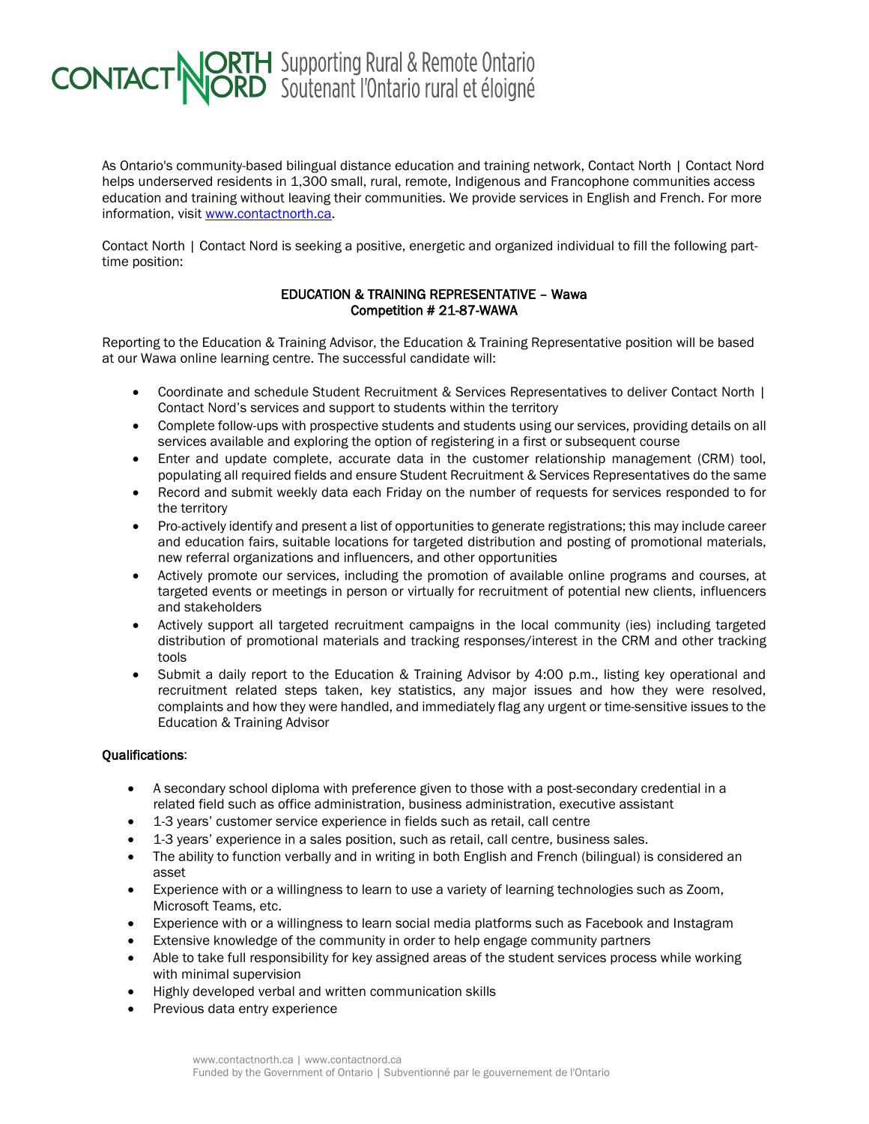## **CONTACT NORTH** Supporting Rural & Remote Ontario

As Ontario's community-based bilingual distance education and training network, Contact North | Contact Nord helps underserved residents in 1,300 small, rural, remote, Indigenous and Francophone communities access education and training without leaving their communities. We provide services in English and French. For more information, visit [www.contactnorth.ca.](http://www.contactnorth.ca/)

Contact North | Contact Nord is seeking a positive, energetic and organized individual to fill the following parttime position:

## EDUCATION & TRAINING REPRESENTATIVE – Wawa Competition # 21-87-WAWA

Reporting to the Education & Training Advisor, the Education & Training Representative position will be based at our Wawa online learning centre. The successful candidate will:

- Coordinate and schedule Student Recruitment & Services Representatives to deliver Contact North | Contact Nord's services and support to students within the territory
- Complete follow-ups with prospective students and students using our services, providing details on all services available and exploring the option of registering in a first or subsequent course
- Enter and update complete, accurate data in the customer relationship management (CRM) tool, populating all required fields and ensure Student Recruitment & Services Representatives do the same
- Record and submit weekly data each Friday on the number of requests for services responded to for the territory
- Pro-actively identify and present a list of opportunities to generate registrations; this may include career and education fairs, suitable locations for targeted distribution and posting of promotional materials, new referral organizations and influencers, and other opportunities
- Actively promote our services, including the promotion of available online programs and courses, at targeted events or meetings in person or virtually for recruitment of potential new clients, influencers and stakeholders
- Actively support all targeted recruitment campaigns in the local community (ies) including targeted distribution of promotional materials and tracking responses/interest in the CRM and other tracking tools
- Submit a daily report to the Education & Training Advisor by 4:00 p.m., listing key operational and recruitment related steps taken, key statistics, any major issues and how they were resolved, complaints and how they were handled, and immediately flag any urgent or time-sensitive issues to the Education & Training Advisor

## Qualifications:

- A secondary school diploma with preference given to those with a post-secondary credential in a related field such as office administration, business administration, executive assistant
- 1-3 years' customer service experience in fields such as retail, call centre
- 1-3 years' experience in a sales position, such as retail, call centre, business sales.
- The ability to function verbally and in writing in both English and French (bilingual) is considered an asset
- Experience with or a willingness to learn to use a variety of learning technologies such as Zoom, Microsoft Teams, etc.
- Experience with or a willingness to learn social media platforms such as Facebook and Instagram
- Extensive knowledge of the community in order to help engage community partners
- Able to take full responsibility for key assigned areas of the student services process while working with minimal supervision
- Highly developed verbal and written communication skills
- Previous data entry experience